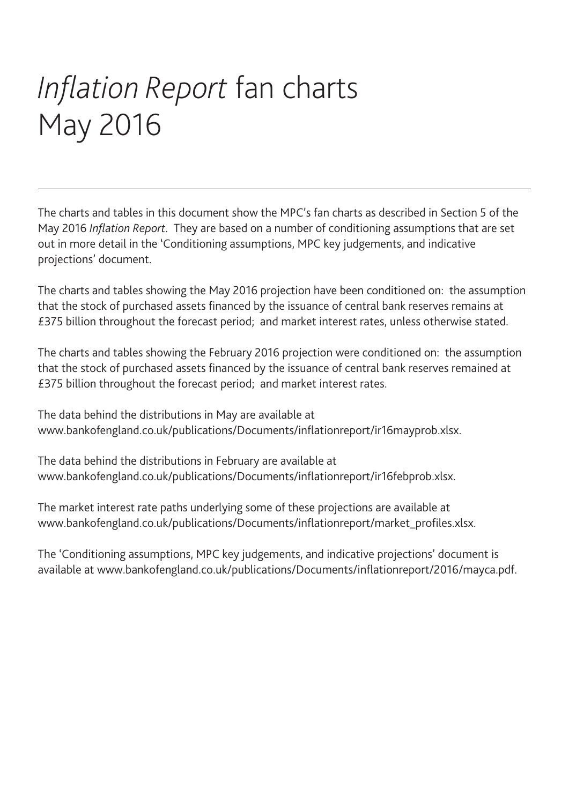# *Inflation Report* fan charts May 2016

The charts and tables in this document show the MPC's fan charts as described in Section 5 of the May 2016 *Inflation Report*. They are based on a number of conditioning assumptions that are set out in more detail in the 'Conditioning assumptions, MPC key judgements, and indicative projections' document.

The charts and tables showing the May 2016 projection have been conditioned on: the assumption that the stock of purchased assets financed by the issuance of central bank reserves remains at £375 billion throughout the forecast period; and market interest rates, unless otherwise stated.

The charts and tables showing the February 2016 projection were conditioned on: the assumption that the stock of purchased assets financed by the issuance of central bank reserves remained at £375 billion throughout the forecast period; and market interest rates.

The data behind the distributions in May are available at www.bankofengland.co.uk/publications/Documents/inflationreport/ir16mayprob.xlsx.

The data behind the distributions in February are available at www.bankofengland.co.uk/publications/Documents/inflationreport/ir16febprob.xlsx.

The market interest rate paths underlying some of these projections are available at www.bankofengland.co.uk/publications/Documents/inflationreport/market\_profiles.xlsx.

The 'Conditioning assumptions, MPC key judgements, and indicative projections' document is available at www.bankofengland.co.uk/publications/Documents/inflationreport/2016/mayca.pdf.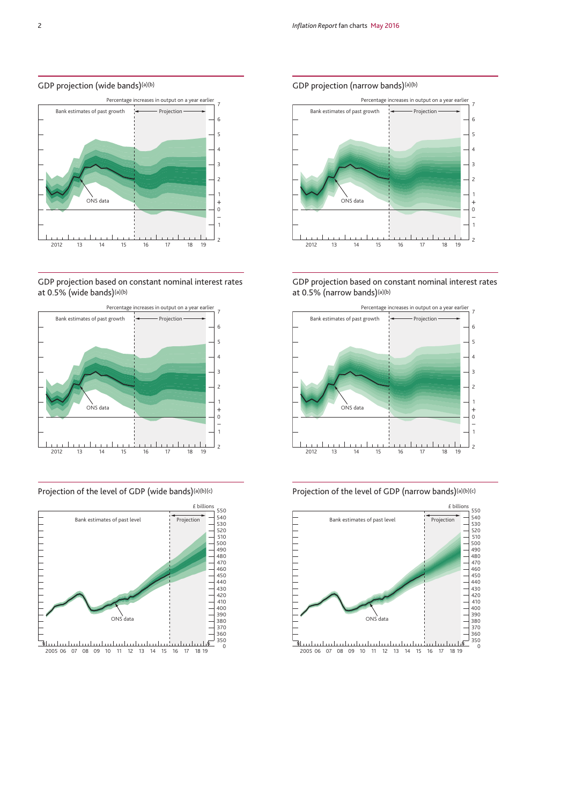# GDP projection (wide bands)(a)(b)



#### GDP projection based on constant nominal interest rates at 0.5% (wide bands)(a)(b)



# Projection of the level of GDP (wide bands)(a)(b)(c)



#### GDP projection (narrow bands)<sup>(a)(b)</sup>



#### GDP projection based on constant nominal interest rates at 0.5% (narrow bands)(a)(b)





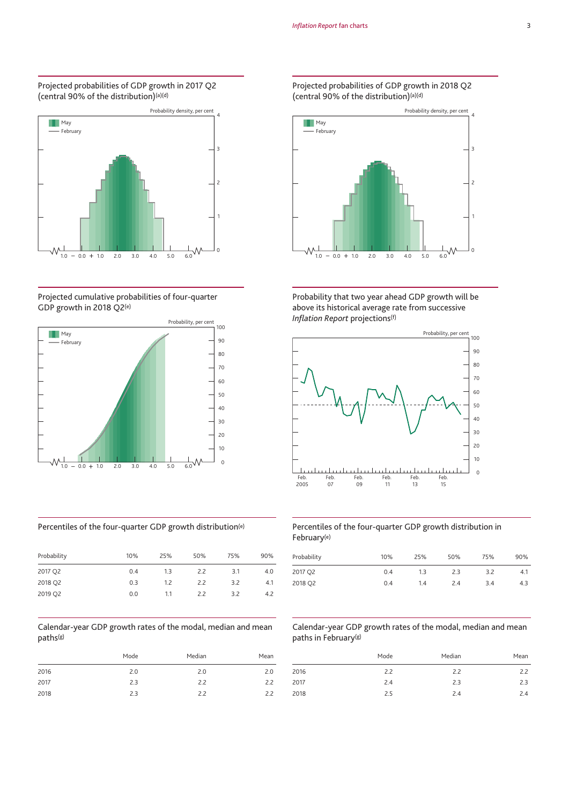#### Projected probabilities of GDP growth in 2017 Q2 (central 90% of the distribution)(a)(d)



#### Projected cumulative probabilities of four-quarter GDP growth in 2018 Q2(e)



# Percentiles of the four-quarter GDP growth distribution(e)

| Probability | 10% | 25% | 50% | 75% | 90% |
|-------------|-----|-----|-----|-----|-----|
| 2017 Q2     | 0.4 | 1.3 | 2.2 | 3.1 | 4.0 |
| 2018 Q2     | 0.3 | 1.2 | 2.2 | 3.2 | 4.1 |
| 2019 Q2     | 0.0 | 1.1 | 22  | 3.2 | 4.2 |

#### Calendar-year GDP growth rates of the modal, median and mean paths(g)

|      | Mode | Median | Mean |
|------|------|--------|------|
| 2016 | 2.0  | 2.0    | 2.0  |
| 2017 | 2.3  | 2.2    | 2.2  |
| 2018 | 2.3  | 2.2    | 2.2  |

#### Projected probabilities of GDP growth in 2018 Q2 (central 90% of the distribution)(a)(d)



Probability that two year ahead GDP growth will be above its historical average rate from successive *Inflation Report* projections(f)



#### Percentiles of the four-quarter GDP growth distribution in February(e)

| Probability | 10% | 25% | 50% | 75% | 90% |
|-------------|-----|-----|-----|-----|-----|
| 2017 Q2     | 0.4 | 1.3 | 2.3 | 3.2 | 4.1 |
| 2018 Q2     | 0.4 | 1.4 | 2.4 | 3.4 | 4.3 |

#### Calendar-year GDP growth rates of the modal, median and mean paths in February(g)

|      | Mode | Median | Mean |
|------|------|--------|------|
| 2016 | 2.2  | 2.2    | 2.2  |
| 2017 | 2.4  | 2.3    | 2.3  |
| 2018 | 2.5  | 2.4    | 2.4  |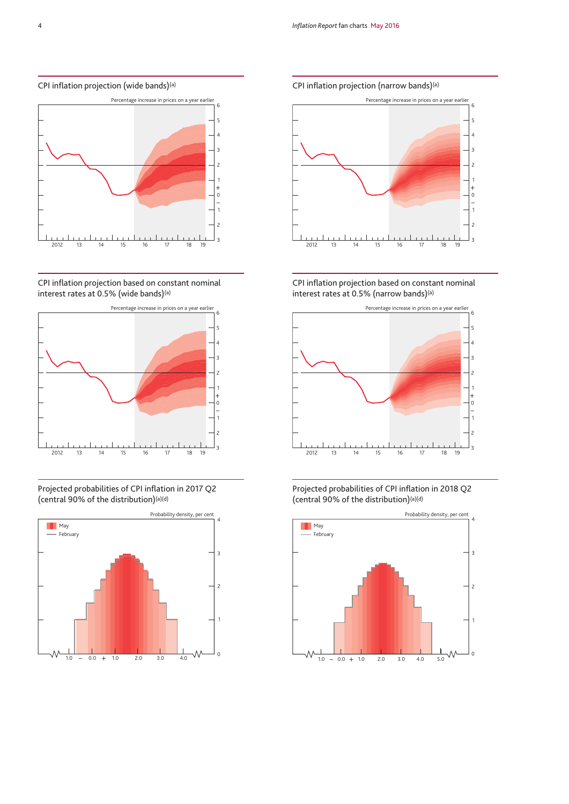#### CPI inflation projection (wide bands)(a)



CPI inflation projection based on constant nominal interest rates at 0.5% (wide bands)(a)



Projected probabilities of CPI inflation in 2017 Q2 (central 90% of the distribution)(a)(d)







CPI inflation projection based on constant nominal interest rates at 0.5% (narrow bands)(a)





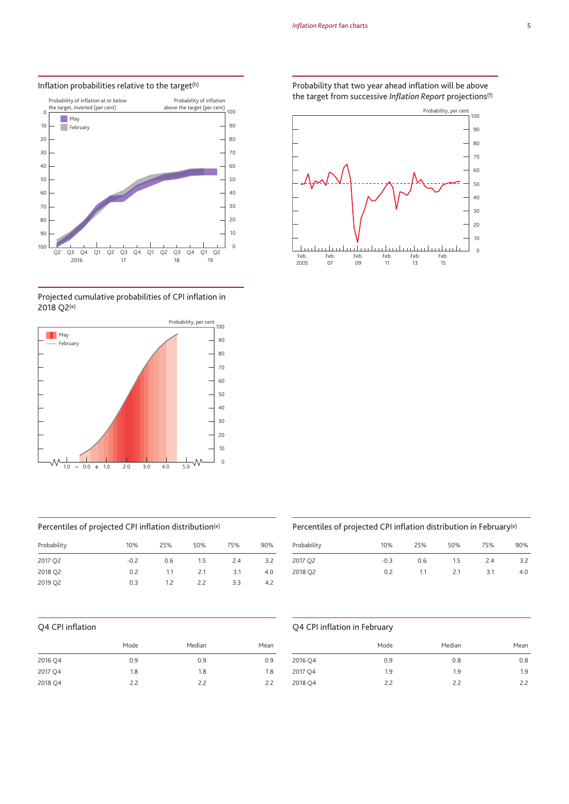

Projected cumulative probabilities of CPI inflation in

#### Q2(e)



#### Percentiles of projected CPI inflation distribution(e)

| Probability | 10%    | 25% | 50% | 75% | 90% |
|-------------|--------|-----|-----|-----|-----|
| 2017 Q2     | $-0.2$ | 0.6 | 1.5 | 2.4 | 3.2 |
| 2018 Q2     | 0.2    | 1.1 | 2.1 | 3.1 | 4.0 |
| 2019 Q2     | 0.3    | 12  | 22  | 3.3 | 4.2 |

#### Q4 CPI inflation

|         | Mode | Median | Mean |
|---------|------|--------|------|
| 2016 Q4 | 0.9  | 0.9    | 0.9  |
| 2017 Q4 | 1.8  | 1.8    | 1.8  |
| 2018 Q4 | 2.2  | 2.2    | 2.2  |

#### Probability that two year ahead inflation will be above the target from successive *Inflation Report* projections(f)



#### Percentiles of projected CPI inflation distribution in February(e)

| 90% | 75% | 50% | 25% | 10%    | Probability |
|-----|-----|-----|-----|--------|-------------|
| 3.2 | 2.4 | 1.5 | 0.6 | $-0.3$ | 2017 Q2     |
| 4.0 | 3.1 | 2.1 | 1.1 | 0.2    | 2018 Q2     |
|     |     |     |     |        |             |

### Q4 CPI inflation in February

|         | Mode | Median | Mean |
|---------|------|--------|------|
| 2016 Q4 | 0.9  | 0.8    | 0.8  |
| 2017 Q4 | 1.9  | 1.9    | 1.9  |
| 2018 Q4 | 2.2  | 2.2    | 2.2  |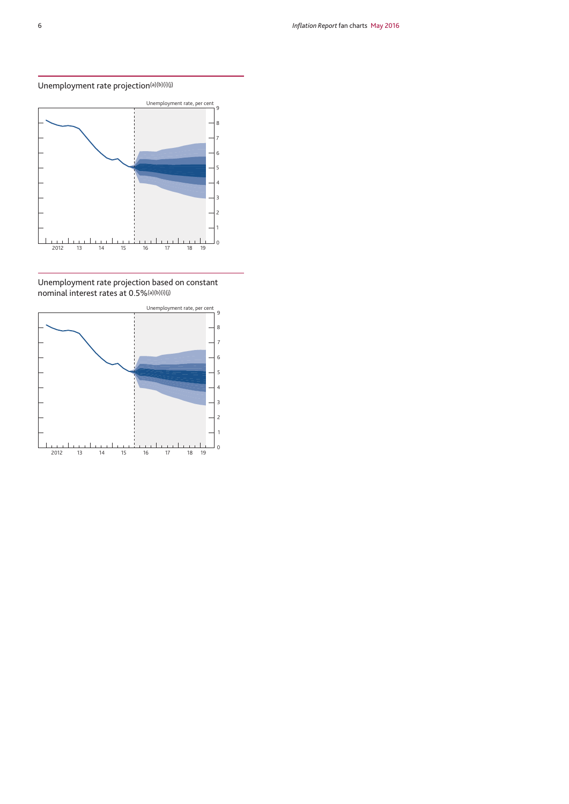# Unemployment rate projection $(a)(b)(i)(j)$



Unemployment rate projection based on constant nominal interest rates at 0.5%(a)(b)(i)(j)